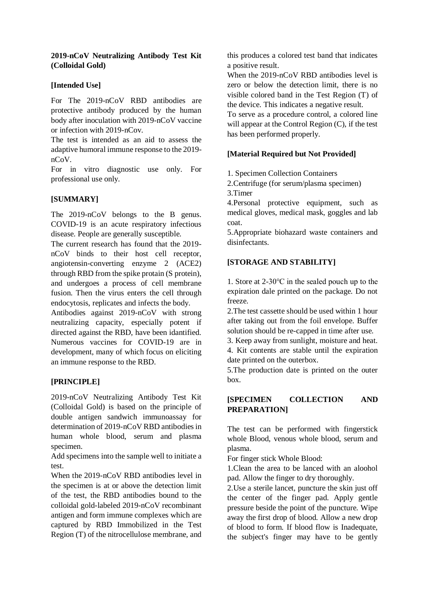## **2019-nCoV Neutralizing Antibody Test Kit (Colloidal Gold)**

# **[Intended Use]**

For The 2019-nCoV RBD antibodies are protective antibody produced by the human body after inoculation with 2019-nCoV vaccine or infection with 2019-nCov.

The test is intended as an aid to assess the adaptive humoral immune response to the 2019 nCoV.

For in vitro diagnostic use only. For professional use only.

# **[SUMMARY]**

The 2019-nCoV belongs to the B genus. COVID-19 is an acute respiratory infectious disease. People are generally susceptible.

The current research has found that the 2019 nCoV binds to their host cell receptor, angiotensin-converting enzyme 2 (ACE2) through RBD from the spike protain (S protein), and undergoes a process of cell membrane fusion. Then the virus enters the cell through endocytosis, replicates and infects the body.

Antibodies against 2019-nCoV with strong neutralizing capacity, especially potent if directed against the RBD, have been idantified. Numerous vaccines for COVID-19 are in development, many of which focus on eliciting an immune response to the RBD.

# **[PRINCIPLE]**

2019-nCoV Neutralizing Antibody Test Kit (Colloidal Gold) is based on the principle of double antigen sandwich immunoassay for determination of 2019-nCoV RBD antibodies in human whole blood, serum and plasma specimen.

Add specimens into the sample well to initiate a test.

When the 2019-nCoV RBD antibodies level in the specimen is at or above the detection limit of the test, the RBD antibodies bound to the colloidal gold-labeled 2019-nCoV recombinant antigen and form immune complexes which are captured by RBD Immobilized in the Test Region (T) of the nitrocellulose membrane, and this produces a colored test band that indicates a positive result.

When the 2019-nCoV RBD antibodies level is zero or below the detection limit, there is no visible colored band in the Test Region (T) of the device. This indicates a negative result.

To serve as a procedure control, a colored line will appear at the Control Region (C), if the test has been performed properly.

# **[Material Required but Not Provided]**

1. Specimen Collection Containers

2.Centrifuge (for serum/plasma specimen) 3.Timer

4.Personal protective equipment, such as medical gloves, medical mask, goggles and lab coat.

5.Appropriate biohazard waste containers and disinfectants.

# **[STORAGE AND STABILITY]**

1. Store at 2-30℃ in the sealed pouch up to the expiration dale printed on the package. Do not freeze.

2.The test cassette should be used within 1 hour after taking out from the foil envelope. Buffer solution should be re-capped in time after use.

3. Keep away from sunlight, moisture and heat. 4. Kit contents are stable until the expiration date printed on the outerbox.

5.The production date is printed on the outer box.

# **[SPECIMEN COLLECTION AND PREPARATION]**

The test can be performed with fingerstick whole Blood, venous whole blood, serum and plasma.

For finger stick Whole Blood:

1.Clean the area to be lanced with an aloohol pad. Allow the finger to dry thoroughly.

2.Use a sterile lancet, puncture the skin just off the center of the finger pad. Apply gentle pressure beside the point of the puncture. Wipe away the first drop of blood. Allow a new drop of blood to form. If blood flow is Inadequate, the subject's finger may have to be gently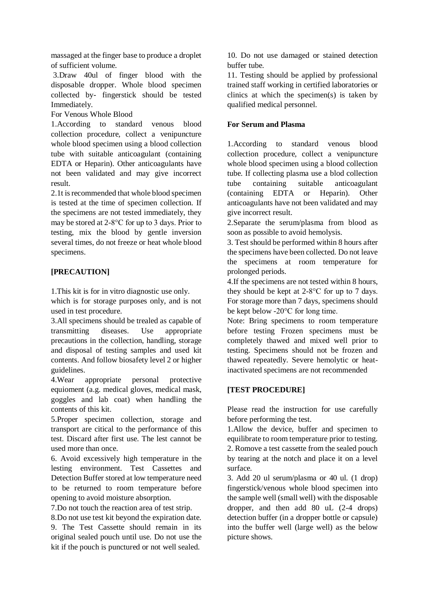massaged at the finger base to produce a droplet of sufficient volume.

3.Draw 40ul of finger blood with the disposable dropper. Whole blood specimen collected by- fingerstick should be tested Immediately.

For Venous Whole Blood

1.According to standard venous blood collection procedure, collect a venipuncture whole blood specimen using a blood collection tube with suitable anticoagulant (containing EDTA or Heparin). Other anticoagulants have not been validated and may give incorrect result.

2.1t is recommended that whole blood specimen is tested at the time of specimen collection. If the specimens are not tested immediately, they may be stored at 2-8°C for up to 3 days. Prior to testing, mix the blood by gentle inversion several times, do not freeze or heat whole blood specimens.

# **[PRECAUTION]**

1.This kit is for in vitro diagnostic use only.

which is for storage purposes only, and is not used in test procedure.

3.All specimens should be trealed as capable of transmitting diseases. Use appropriate precautions in the collection, handling, storage and disposal of testing samples and used kit contents. And follow biosafety level 2 or higher guidelines.

4.Wear appropriate personal protective equioment (a.g. medical gloves, medical mask, goggles and lab coat) when handling the contents of this kit.

5.Proper specimen collection, storage and transport are citical to the performance of this test. Discard after first use. The lest cannot be used more than once.

6. Avoid excessively high temperature in the lesting environment. Test Cassettes and Detection Buffer stored at low temperature need to be returned to room temperature before opening to avoid moisture absorption.

7.Do not touch the reaction area of test strip.

8.Do not use test kit beyond the expiration date. 9. The Test Cassette should remain in its original sealed pouch until use. Do not use the kit if the pouch is punctured or not well sealed.

10. Do not use damaged or stained detection buffer tube.

11. Testing should be applied by professional trained staff working in certified laboratories or clinics at which the specimen(s) is taken by qualified medical personnel.

# **For Serum and Plasma**

1.According to standard venous blood collection procedure, collect a venipuncture whole blood specimen using a blood collection tube. If collecting plasma use a blod collection tube containing suitable anticoagulant (containing EDTA or Heparin). Other anticoagulants have not been validated and may give incorrect result.

2.Separate the serum/plasma from blood as soon as possible to avoid hemolysis.

3. Test should be performed within 8 hours after the specimens have been collected. Do not leave the specimens at room temperature for prolonged periods.

4.If the specimens are not tested within 8 hours, they should be kept at 2-8°C for up to 7 days. For storage more than 7 days, specimens should be kept below -20°C for long time.

Note: Bring specimens to room temperature before testing Frozen specimens must be completely thawed and mixed well prior to testing. Specimens should not be frozen and thawed repeatedly. Severe hemolytic or heatinactivated specimens are not recommended

# **[TEST PROCEDURE]**

Please read the instruction for use carefully before performing the test.

1.Allow the device, buffer and specimen to equilibrate to room temperature prior to testing. 2. Romove a test cassette from the sealed pouch by tearing at the notch and place it on a level surface.

3. Add 20 ul serum/plasma or 40 ul. (1 drop) fingerstick/venous whole blood specimen into the sample well (small well) with the disposable dropper, and then add 80 uL (2-4 drops) detection buffer (in a dropper bottle or capsule) into the buffer well (large well) as the below picture shows.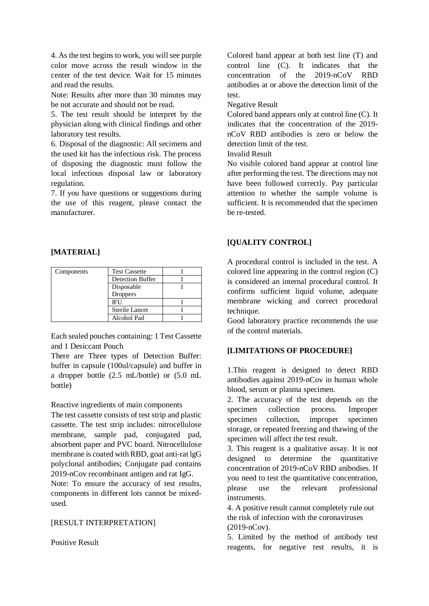4. As the test begins to work, you will see purple color move across the result window in the center of the test device. Wait for 15 minutes and read the results.

Note: Results after more than 30 minutes may be not accurate and should not be read.

5. The test result should be interpret by the physician along with clinical findings and other laboratory test results.

6. Disposal of the diagnostic: All secimens and the used kit has the infectious risk. The process of disposing the diagnostic must follow the local infectious disposal law or laboratory regulation.

7. If you have questions or suggestions during the use of this reagent, please contact the manufacturer.

#### **[MATERIAL]**

| Components | <b>Test Cassette</b>    |  |
|------------|-------------------------|--|
|            | <b>Detection Buffer</b> |  |
|            | Disposable              |  |
|            | <b>Droppers</b>         |  |
|            | IFU                     |  |
|            | <b>Sterile Lancet</b>   |  |
|            | Alcohol Pad             |  |

Each sealed pouches containing: 1 Test Cassette and 1 Desiccant Pouch

There are Three types of Detection Buffer: buffer in capsule (100ul/capsule) and buffer in a dropper bottle (2.5 mL/bottle) or (5.0 mL bottle)

Reactive ingredients of main components

The test cassette consists of test strip and plastic cassette. The test strip includes: nitrocellulose membrane, sample pad, conjugated pad, absorbent paper and PVC board. Nitrocellulose membrane is coated with RBD, goat anti-rat lgG polyclonal antibodies; Conjugate pad contains 2019-nCov recombinant antigen and rat IgG. Note: To ensure the accuracy of test results, components in different lots cannot be mixedused.

#### [RESULT INTERPRETATION]

Positive Result

Colored band appear at both test line (T) and control line (C). It indicates that the concentration of the 2019-nCoV RBD antibodies at or above the detection limit of the test.

Negative Result

Colored band appears only at control line (C). It indicates that the concentration of the 2019 nCoV RBD antibodies is zero or below the detection limit of the test.

Invalid Result

No visible colored band appear at control line after performing the test. The directions may not have been followed correctly. Pay particular attention to whether the sample volume is sufficient. It is recommended that the specimen be re-tested.

# **[QUALITY CONTROL]**

A procedural control is included in the test. A colored line appearing in the control region (C) is considered an internal procedural control. It confirms sufficient liquid volume, adequate membrane wicking and correct procedural technique.

Good laboratory practice recommends the use of the control materials.

## **[LIMITATIONS OF PROCEDURE]**

1.This reagent is designed to detect RBD antibodies against 2019-nCov in human whole blood, serum or plasma specimen.

2. The accuracy of the test depends on the specimen collection process. Improper specimen collection, improper specimen storage, or repeated freezing and thawing of the specimen will affect the test result.

3. This reagent is a qualitative assay. It is not designed to determine the quantitative concentration of 2019-nCoV RBD anibodies. If you need to test the quantitative concentration, please use the relevant professional instruments.

4. A positive result cannot completely rule out the risk of infection with the coronaviruses (2019-nCov).

5. Limited by the method of antibody test reagents, for negative test results, it is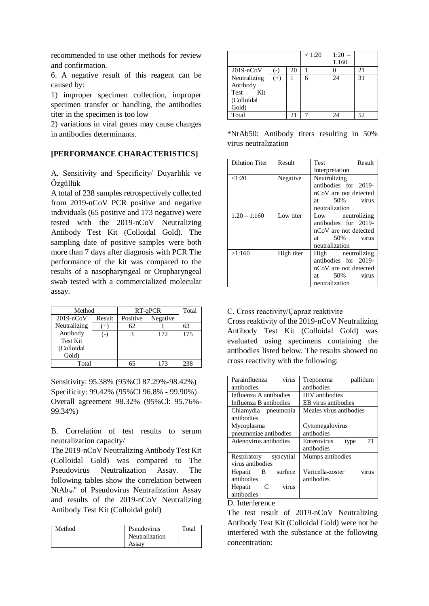recommended to use other methods for review and confirmation.

6. A negative result of this reagent can be caused by:

1) improper specimen collection, improper specimen transfer or handling, the antibodies titer in the specimen is too low

2) variations in viral genes may cause changes in antibodies determinants.

### **[PERFORMANCE CHARACTERISTICS]**

A. Sensitivity and Specificity/ Duyarlılık ve Özgüllük

A total of 238 samples retrospectively collected from 2019-nCoV PCR positive and negative individuals (65 positive and 173 negative) were tested with the 2019-nCoV Neutralizing Antibody Test Kit (Colloidal Gold). The sampling date of positive samples were both more than 7 days after diagnosis with PCR The performance of the kit was compared to the results of a nasopharyngeal or Oropharyngeal swab tested with a commercialized molecular assay.

| Method          |        |          | RT-qPCR  | Total |
|-----------------|--------|----------|----------|-------|
| $2019 - nCoV$   | Result | Positive | Negative |       |
| Neutralizing    | $^{+}$ | 62       |          | 63    |
| Antibody        | $(-)$  |          | 172      | 175   |
| <b>Test Kit</b> |        |          |          |       |
| (Colloidal      |        |          |          |       |
| Gold)           |        |          |          |       |
| Total           |        | 65       | 173      | 238   |

Sensitivity: 95.38% (95%Cl 87.29%-98.42%) Specificity: 99.42% (95%Cl 96.8% - 99.90%) Overall agreement 98.32% (95%Cl: 95.76%- 99.34%)

B. Correlation of test results to serum neutralization capacity/

The 2019-nCoV Neutralizing Antibody Test Kit (Colloidal Gold) was compared to The Pseudovirus Neutralization Assay. The following tables show the correlation between NtAb50" of Pseudovirus Neutralization Assay and results of the 2019-nCoV Neutralizing Antibody Test Kit (Colloidal gold)

| Method | Pseudovirus    | Total |
|--------|----------------|-------|
|        | Neutralization |       |
|        | Assav          |       |

|               |       |    | < 1:20 | 1:20<br>1.160 |    |
|---------------|-------|----|--------|---------------|----|
| $2019 - nCoV$ |       | 20 |        |               | 21 |
| Neutralizing  | $(+)$ |    | 6      | 24            | 31 |
| Antibody      |       |    |        |               |    |
| Kit<br>Test   |       |    |        |               |    |
| (Colloidal    |       |    |        |               |    |
| Gold)         |       |    |        |               |    |
| Total         |       | 21 |        |               | 52 |

\*NtAb50: Antibody titers resulting in 50% virus neutralization

| <b>Dilution Titer</b> | Result     | Result<br>Test                                                                                             |  |  |
|-----------------------|------------|------------------------------------------------------------------------------------------------------------|--|--|
|                       |            | Interpretation                                                                                             |  |  |
| < 1:20                | Negative   | Neutrolizing<br>antibodies for 2019-<br>nCoV are not detected<br>at 50% virus<br>neutralization            |  |  |
| $1.20 - 1:160$        | Low titer  | Low neutrolizing<br>antibodies for 2019-<br>nCoV are not detected<br>at 50% virus<br>neutralization        |  |  |
| >1:160                | High titer | High neutrolizing<br>antibodies for 2019-<br>nCoV are not detected<br>at $50\%$<br>virus<br>neutralization |  |  |

#### C. Cross reactivity/Çapraz reaktivite

Cross reaktivity of the 2019-nCoV Neutralizing Antibody Test Kit (Colloidal Gold) was evaluated using specimens containing the antibodies listed below. The results showed no cross reactivity with the following:

| virus<br>Parainfluenza   | pallidum<br>Treponema            |  |  |
|--------------------------|----------------------------------|--|--|
| antibodies               | antibodies                       |  |  |
| Influenza A antibodies   | <b>HIV</b> antibodies            |  |  |
| Influenza B antibodies   | EB virus antibodies              |  |  |
| Chlamydia pneumonia      | Meales virus antibodies          |  |  |
| antibodies               |                                  |  |  |
| Mycoplasma               | Cytomegalovirus                  |  |  |
| pneumoniae antibodies    | antibodies                       |  |  |
| Adenovirus antibodies    | Enterovirus<br>71<br>type        |  |  |
|                          | antibodies                       |  |  |
| syncytial<br>Respiratory | Mumps antibodies                 |  |  |
| virus antibodies         |                                  |  |  |
| surfece<br>Hepatit<br>B  | Varicella-zoster<br><b>VITUS</b> |  |  |
| antibodies               | antibodies                       |  |  |
| C<br>Hepatit<br>virus    |                                  |  |  |
| antibodies               |                                  |  |  |

#### D. Interference

The test result of 2019-nCoV Neutralizing Antibody Test Kit (Colloidal Gold) were not be interfered with the substance at the following concentration: